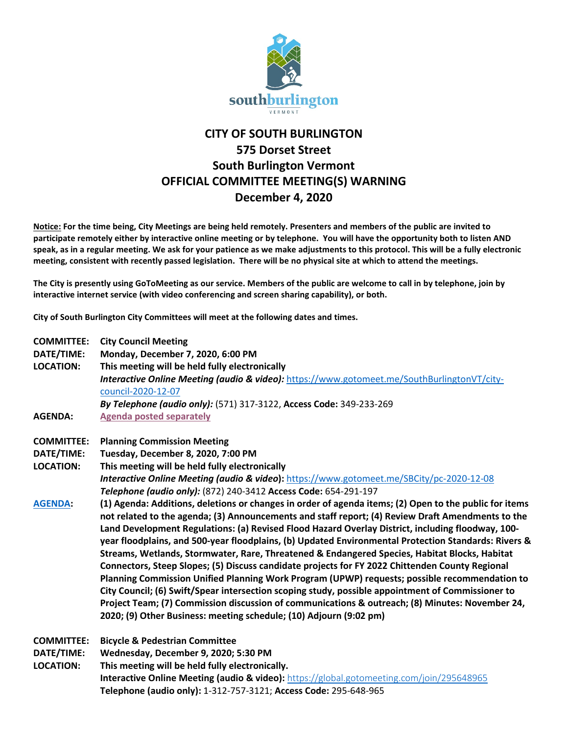

## **CITY OF SOUTH BURLINGTON 575 Dorset Street South Burlington Vermont OFFICIAL COMMITTEE MEETING(S) WARNING December 4, 2020**

**Notice: For the time being, City Meetings are being held remotely. Presenters and members of the public are invited to participate remotely either by interactive online meeting or by telephone. You will have the opportunity both to listen AND speak, as in a regular meeting. We ask for your patience as we make adjustments to this protocol. This will be a fully electronic meeting, consistent with recently passed legislation. There will be no physical site at which to attend the meetings.** 

**The City is presently using GoToMeeting as our service. Members of the public are welcome to call in by telephone, join by interactive internet service (with video conferencing and screen sharing capability), or both.**

**City of South Burlington City Committees will meet at the following dates and times.** 

| <b>COMMITTEE:</b> | <b>City Council Meeting</b>                                                                            |
|-------------------|--------------------------------------------------------------------------------------------------------|
| DATE/TIME:        | Monday, December 7, 2020, 6:00 PM                                                                      |
| <b>LOCATION:</b>  | This meeting will be held fully electronically                                                         |
|                   | Interactive Online Meeting (audio & video): https://www.gotomeet.me/SouthBurlingtonVT/city-            |
|                   | council-2020-12-07                                                                                     |
|                   | By Telephone (audio only): (571) 317-3122, Access Code: 349-233-269                                    |
| <b>AGENDA:</b>    | <b>Agenda posted separately</b>                                                                        |
| <b>COMMITTEE:</b> | <b>Planning Commission Meeting</b>                                                                     |
| DATE/TIME:        | Tuesday, December 8, 2020, 7:00 PM                                                                     |
| <b>LOCATION:</b>  | This meeting will be held fully electronically                                                         |
|                   | Interactive Online Meeting (audio & video): https://www.gotomeet.me/SBCity/pc-2020-12-08               |
|                   | Telephone (audio only): (872) 240-3412 Access Code: 654-291-197                                        |
| <b>AGENDA:</b>    | (1) Agenda: Additions, deletions or changes in order of agenda items; (2) Open to the public for items |
|                   | not related to the agenda; (3) Announcements and staff report; (4) Review Draft Amendments to the      |
|                   | Land Development Regulations: (a) Revised Flood Hazard Overlay District, including floodway, 100-      |
|                   | year floodplains, and 500-year floodplains, (b) Updated Environmental Protection Standards: Rivers &   |
|                   | Streams, Wetlands, Stormwater, Rare, Threatened & Endangered Species, Habitat Blocks, Habitat          |
|                   | Connectors, Steep Slopes; (5) Discuss candidate projects for FY 2022 Chittenden County Regional        |
|                   | Planning Commission Unified Planning Work Program (UPWP) requests; possible recommendation to          |
|                   | City Council; (6) Swift/Spear intersection scoping study, possible appointment of Commissioner to      |
|                   | Project Team; (7) Commission discussion of communications & outreach; (8) Minutes: November 24,        |
|                   | 2020; (9) Other Business: meeting schedule; (10) Adjourn (9:02 pm)                                     |
| <b>COMMITTEE:</b> | <b>Bicycle &amp; Pedestrian Committee</b>                                                              |
| DATE/TIME:        | Wednesday, December 9, 2020; 5:30 PM                                                                   |
| <b>LOCATION:</b>  | This meeting will be held fully electronically.                                                        |
|                   | Interactive Online Meeting (audio & video): https://global.gotomeeting.com/join/295648965              |
|                   | Telephone (audio only): 1-312-757-3121; Access Code: 295-648-965                                       |